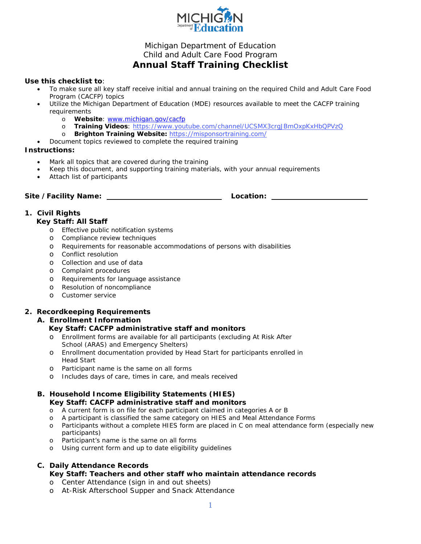

# Michigan Department of Education Child and Adult Care Food Program **Annual Staff Training Checklist**

#### **Use this checklist to**:

- To make sure all key staff receive initial and annual training on the required Child and Adult Care Food Program (CACFP) topics
- Utilize the Michigan Department of Education (MDE) resources available to meet the CACFP training requirements
	-
	- o **Website**: [www.michigan.gov/cacfp](http://www.michigan.gov/cacfp)<br>o **Training Videos:** https://www.yout o **Training Videos**:<https://www.youtube.com/channel/UCSMX3crgJBmOxpKxHbQPVzQ><br>o **Brighton Training Website:** https://misponsortraining.com/
	- o **Brighton Training Website:** <https://misponsortraining.com/>
- Document topics reviewed to complete the required training

#### **Instructions:**

- Mark all topics that are covered during the training
- Keep this document, and supporting training materials, with your annual requirements
- Attach list of participants

Site /Facility Name: **Location:** Location: <u>Location:</u>

# **1. Civil Rights**

### **Key Staff: All Staff**

- o Effective public notification systems
- o Compliance review techniques
- o Requirements for reasonable accommodations of persons with disabilities
- o Conflict resolution
- o Collection and use of data
- o Complaint procedures
- o Requirements for language assistance
- o Resolution of noncompliance
- o Customer service

### **2. Recordkeeping Requirements**

### **A. Enrollment Information**

### **Key Staff: CACFP administrative staff and monitors**

- o Enrollment forms are available for all participants (excluding At Risk After School (ARAS) and Emergency Shelters)
- o Enrollment documentation provided by Head Start for participants enrolled in Head Start
- o Participant name is the same on all forms
- o Includes days of care, times in care, and meals received

### **B. Household Income Eligibility Statements (HIES) Key Staff: CACFP administrative staff and monitors**

- o A current form is on file for each participant claimed in categories A or B
- o A participant is classified the same category on HIES and Meal Attendance Forms
- o Participants without a complete HIES form are placed in C on meal attendance form (especially new participants)
- o Participant's name is the same on all forms
- o Using current form and up to date eligibility guidelines

### **C. Daily Attendance Records**

# **Key Staff: Teachers and other staff who maintain attendance records**

- o Center Attendance (sign in and out sheets)
- o At-Risk Afterschool Supper and Snack Attendance